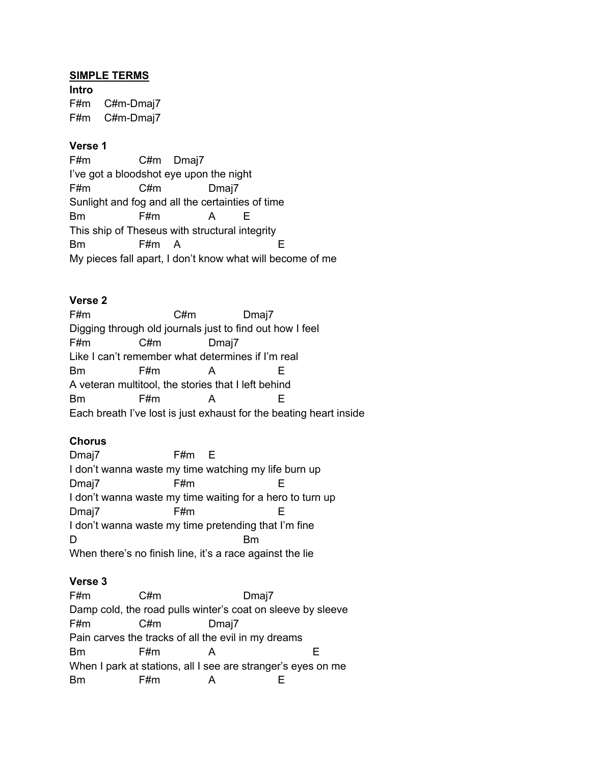#### **SIMPLE TERMS**

**Intro** F#m C#m-Dmaj7 F#m C#m-Dmaj7

# **Verse 1**

F#m C#m Dmaj7 I've got a bloodshot eye upon the night F#m C#m Dmaj7 Sunlight and fog and all the certainties of time Bm F#m A E This ship of Theseus with structural integrity Bm F#m A E My pieces fall apart, I don't know what will become of me

## **Verse 2**

| F#m                                                                | C#m | Dmaj7 |    |  |  |  |
|--------------------------------------------------------------------|-----|-------|----|--|--|--|
| Digging through old journals just to find out how I feel           |     |       |    |  |  |  |
| F#m                                                                | C#m | Dmaj7 |    |  |  |  |
| Like I can't remember what determines if I'm real                  |     |       |    |  |  |  |
| <b>Bm</b>                                                          | F#m |       |    |  |  |  |
| A veteran multitool, the stories that I left behind                |     |       |    |  |  |  |
| <b>Bm</b>                                                          | F#m | А     | н. |  |  |  |
| Each breath I've lost is just exhaust for the beating heart inside |     |       |    |  |  |  |

## **Chorus**

| Dmaj7                                                     | F#m E |  |  |  |  |  |
|-----------------------------------------------------------|-------|--|--|--|--|--|
| I don't wanna waste my time watching my life burn up      |       |  |  |  |  |  |
| Dmaj7                                                     | F#m   |  |  |  |  |  |
| I don't wanna waste my time waiting for a hero to turn up |       |  |  |  |  |  |
| Dmaj7                                                     | F#m   |  |  |  |  |  |
| I don't wanna waste my time pretending that I'm fine      |       |  |  |  |  |  |
| D                                                         |       |  |  |  |  |  |
| When there's no finish line, it's a race against the lie  |       |  |  |  |  |  |

## **Verse 3**

| F#m                                                          | C#m | Dmaj7 |  |  |  |  |
|--------------------------------------------------------------|-----|-------|--|--|--|--|
| Damp cold, the road pulls winter's coat on sleeve by sleeve  |     |       |  |  |  |  |
| F#m                                                          | C#m | Dmaj7 |  |  |  |  |
| Pain carves the tracks of all the evil in my dreams          |     |       |  |  |  |  |
| Bm                                                           | F#m | A     |  |  |  |  |
| When I park at stations, all I see are stranger's eyes on me |     |       |  |  |  |  |
| Rm                                                           | -#m |       |  |  |  |  |